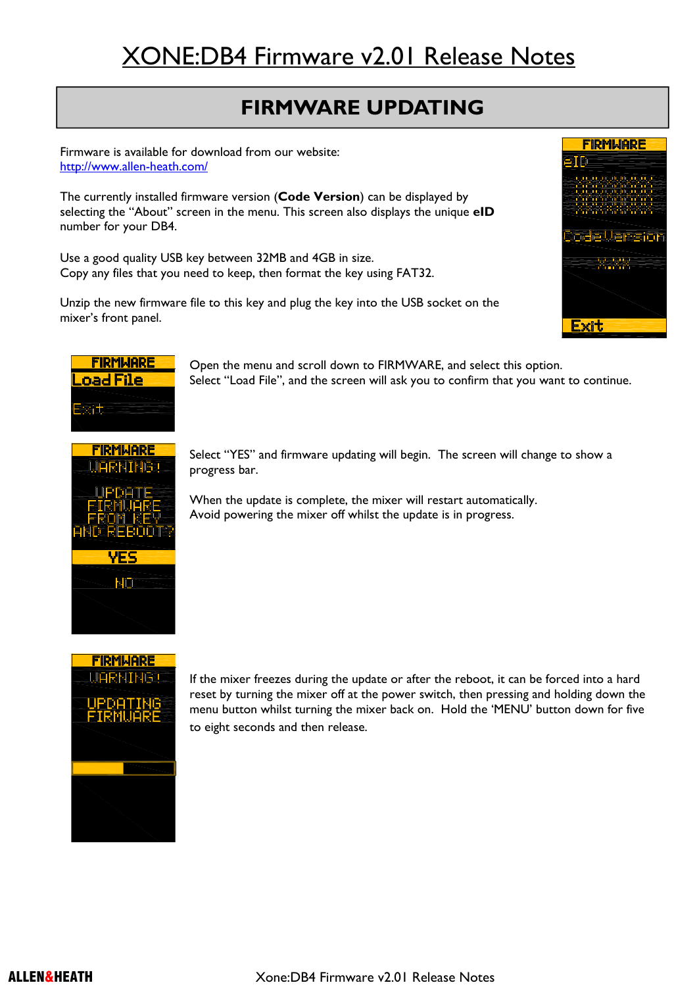# XONE:DB4 Firmware v2.01 Release Notes

## **FIRMWARE UPDATING**

Firmware is available for download from our website: http://www.allen-heath.com/

The currently installed firmware version (**Code Version**) can be displayed by selecting the "About" screen in the menu. This screen also displays the unique **eID** number for your DB4.

Use a good quality USB key between 32MB and 4GB in size. Copy any files that you need to keep, then format the key using FAT32.

Unzip the new firmware file to this key and plug the key into the USB socket on the mixer's front panel.





Open the menu and scroll down to FIRMWARE, and select this option. Select "Load File", and the screen will ask you to confirm that you want to continue.



Select "YES" and firmware updating will begin. The screen will change to show a progress bar.

When the update is complete, the mixer will restart automatically. Avoid powering the mixer off whilst the update is in progress.



If the mixer freezes during the update or after the reboot, it can be forced into a hard reset by turning the mixer off at the power switch, then pressing and holding down the menu button whilst turning the mixer back on. Hold the 'MENU' button down for five to eight seconds and then release.